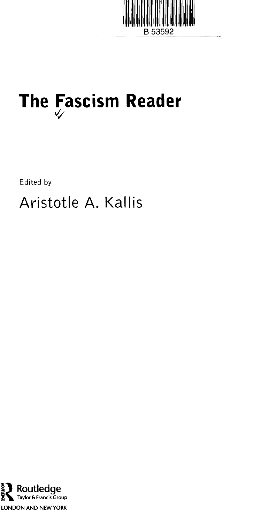

# **The Fascism Reader**

Edited by

Aristotle A. Kallis

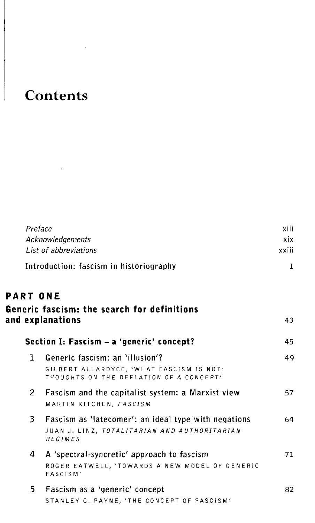# **Contents**

 $\sim 10^{-11}$   ${\rm yr}$ 

| Preface        |                                                                                                                        | xiii         |
|----------------|------------------------------------------------------------------------------------------------------------------------|--------------|
|                | Acknowledgements                                                                                                       | xix          |
|                | List of abbreviations                                                                                                  | xxiii        |
|                | Introduction: fascism in historiography                                                                                | $\mathbf{1}$ |
| PART ONE       |                                                                                                                        |              |
|                | Generic fascism: the search for definitions                                                                            |              |
|                | and explanations                                                                                                       | 43           |
|                | Section I: Fascism - a 'generic' concept?                                                                              | 45           |
| 1              | Generic fascism: an 'illusion'?<br>GILBERT ALLARDYCE, 'WHAT FASCISM IS NOT:<br>THOUGHTS ON THE DEFLATION OF A CONCEPT' | 49           |
| 2 <sup>1</sup> | Fascism and the capitalist system: a Marxist view<br>MARTIN KITCHEN, FASCISM                                           | 57           |
| 3              | Fascism as 'latecomer': an ideal type with negations<br>JUAN J. LINZ, TOTALITARIAN AND AUTHORITARIAN<br>REGIMES        | 64           |
| 4              | A 'spectral-syncretic' approach to fascism<br>ROGER EATWELL, 'TOWARDS A NEW MODEL OF GENERIC<br>FASCISM'               | 71           |
| 5.             | Fascism as a 'generic' concept<br>STANLEY G. PAYNE, 'THE CONCEPT OF FASCISM'                                           | 82           |
|                |                                                                                                                        |              |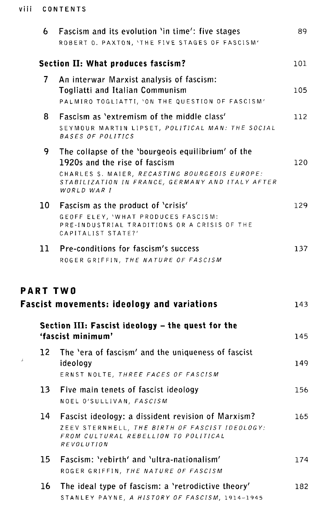## viii CONTENTS

|                 | Fascism and its evolution 'in time': five stages<br>ROBERT O. PAXTON, 'THE FIVE STAGES OF FASCISM'                                                                                                      | 89. |
|-----------------|---------------------------------------------------------------------------------------------------------------------------------------------------------------------------------------------------------|-----|
|                 | <b>Section II: What produces fascism?</b>                                                                                                                                                               | 101 |
| 7               | An interwar Marxist analysis of fascism:<br>Togliatti and Italian Communism<br>PALMIRO TOGLIATTI, 'ON THE QUESTION OF FASCISM'                                                                          | 105 |
| 8.              | Fascism as 'extremism of the middle class'<br>SEYMOUR MARTIN LIPSET, POLITICAL MAN: THE SOCIAL<br>BASES OF POLITICS                                                                                     | 112 |
| 9.              | The collapse of the 'bourgeois equilibrium' of the<br>1920s and the rise of fascism<br>CHARLES S. MAIER, RECASTING BOURGEOIS EUROPE:<br>STABILIZATION IN FRANCE, GERMANY AND ITALY AFTER<br>WORLD WAR I | 120 |
| 10 -            | Fascism as the product of 'crisis'<br>GEOFF ELEY, 'WHAT PRODUCES FASCISM:<br>PRE-INDUSTRIAL TRADITIONS OR A CRISIS OF THE<br>CAPITALIST STATE?'                                                         | 129 |
| 11              | Pre-conditions for fascism's success<br>ROGER GRIFFIN, THE NATURE OF FASCISM                                                                                                                            | 137 |
|                 |                                                                                                                                                                                                         |     |
| <b>PART TWO</b> |                                                                                                                                                                                                         |     |
|                 | <b>Fascist movements: ideology and variations</b>                                                                                                                                                       | 143 |
|                 | Section III: Fascist ideology - the quest for the<br>'fascist minimum'                                                                                                                                  | 145 |
| 12<br>J.        | The 'era of fascism' and the uniqueness of fascist<br>ideology<br>ERNST NOLTE, THREE FACES OF FASCISM                                                                                                   | 149 |
| 13              | Five main tenets of fascist ideology<br>NOEL O'SULLIVAN, FASCISM                                                                                                                                        | 156 |
| 14              | Fascist ideology: a dissident revision of Marxism?<br>ZEEV STERNHELL, THE BIRTH OF FASCIST IDEOLOGY:<br>FROM CULTURAL REBELLION TO POLITICAL<br><b>REVOLUTION</b>                                       | 165 |
| 15.             | Fascism: 'rebirth' and 'ultra-nationalism'<br>ROGER GRIFFIN, THE NATURE OF FASCISM                                                                                                                      | 174 |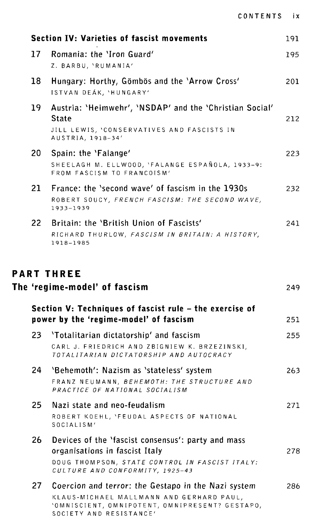|  | CONTENTS |  |  |  | i x |
|--|----------|--|--|--|-----|
|  |          |  |  |  |     |

|                 | <b>Section IV: Varieties of fascist movements</b>                                                                     | 191 |
|-----------------|-----------------------------------------------------------------------------------------------------------------------|-----|
| 17 <sup>2</sup> | Romania: the 'Iron Guard'                                                                                             | 195 |
|                 | Z. BARBU, 'RUMANIA'                                                                                                   |     |
| 18              | Hungary: Horthy, Gömbös and the 'Arrow Cross'<br>ISTVAN DEÁK, 'HUNGARY'                                               | 201 |
| 19              | Austria: 'Heimwehr', 'NSDAP' and the 'Christian Social'<br><b>State</b><br>JILL LEWIS, 'CONSERVATIVES AND FASCISTS IN | 212 |
|                 | AUSTRIA, 1918-34'                                                                                                     |     |
| 20              | Spain: the 'Falange'                                                                                                  | 223 |
|                 | SHEELAGH M. ELLWOOD, 'FALANGE ESPAÑOLA, 1933-9:<br>FROM FASCISM TO FRANCOISM'                                         |     |
| 21              | France: the 'second wave' of fascism in the 1930s<br>ROBERT SOUCY, FRENCH FASCISM: THE SECOND WAVE,<br>1933-1939      | 232 |
| 22 <sub>2</sub> | Britain: the 'British Union of Fascists'<br>RICHARD THURLOW, FASCISM IN BRITAIN: A HISTORY,<br>1918-1985              | 241 |
|                 | Section V: Techniques of fascist rule – the exercise of                                                               |     |
|                 | power by the 'regime-model' of fascism                                                                                | 251 |
| 23              | 'Totalitarian dictatorship' and fascism                                                                               | 255 |
|                 | CARL J. FRIEDRICH AND ZBIGNIEW K. BRZEZINSKI,<br>TOTALITARIAN DICTATORSHIP AND AUTOCRACY                              |     |
| 24.             | 'Behemoth': Nazism as 'stateless' system                                                                              | 263 |
|                 | FRANZ NEUMANN, BEHEMOTH: THE STRUCTURE AND<br>PRACTICE OF NATIONAL SOCIALISM                                          |     |
| 25              | Nazi state and neo-feudalism                                                                                          | 271 |
|                 | ROBERT KOEHL, 'FEUDAL ASPECTS OF NATIONAL<br>SOCIALISM'                                                               |     |
| 26              | Devices of the 'fascist consensus': party and mass<br>organisations in fascist Italy                                  | 278 |
|                 | DOUG THOMPSON, STATE CONTROL IN FASCIST ITALY:<br>CULTURE AND CONFORMITY, 1925-43                                     |     |
| 27              | Coercion and terror: the Gestapo in the Nazi system                                                                   | 286 |
|                 | KLAUS-MICHAEL MALLMANN AND GERHARD PAUL,<br>'OMNISCIENT, OMNIPOTENT, OMNIPRESENT? GESTAPO,<br>SOCIETY AND RESISTANCE' |     |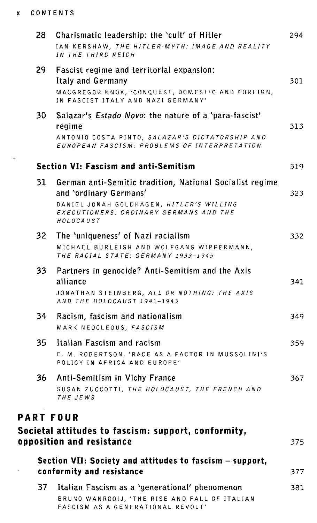### **X CONTENT S**

 $\hat{\mathbf{v}}$ 

| 28               | Charismatic leadership: the 'cult' of Hitler<br>IAN KERSHAW, THE HITLER-MYTH: IMAGE AND REALITY<br>IN THE THIRD REICH                                                                 | 294  |
|------------------|---------------------------------------------------------------------------------------------------------------------------------------------------------------------------------------|------|
| 29 -             | Fascist regime and territorial expansion:<br>Italy and Germany<br>MACGREGOR KNOX, 'CONQUEST, DOMESTIC AND FOREIGN,<br>IN FASCIST ITALY AND NAZI GERMANY'                              | 301  |
| 30               | Salazar's Estado Novo: the nature of a 'para-fascist'<br>regime<br>ANTONIO COSTA PINTO, SALAZAR'S DICTATORSHIP AND<br>EUROPEAN FASCISM: PROBLEMS OF INTERPRETATION                    | 313  |
|                  | <b>Section VI: Fascism and anti-Semitism</b>                                                                                                                                          | 319  |
| 31               | German anti-Semitic tradition, National Socialist regime<br>and 'ordinary Germans'<br>DANIEL JONAH GOLDHAGEN, HITLER'S WILLING<br>EXECUTIONERS: ORDINARY GERMANS AND THE<br>HOLOCAUST | 323  |
| 32 <sub>2</sub>  | The 'uniqueness' of Nazi racialism<br>MICHAEL BURLEIGH AND WOLFGANG WIPPERMANN,<br>THE RACIAL STATE: GERMANY 1933-1945                                                                | 332  |
| 33               | Partners in genocide? Anti-Semitism and the Axis<br>alliance<br>JONATHAN STEINBERG, ALL <i>OR NOTHING: THE AXIS</i><br>AND THE HOLOCAUST 1941-1943                                    | 341  |
| 34               | Racism, fascism and nationalism<br>MARK NEOCLEOUS, FASCISM                                                                                                                            | 349. |
| 35               | Italian Fascism and racism<br>E. M. ROBERTSON, 'RACE AS A FACTOR IN MUSSOLINI'S<br>POLICY IN AFRICA AND EUROPE'                                                                       | 359. |
| 36               | Anti-Semitism in Vichy France<br>SUSAN ZUCCOTTI, THE HOLOCAUST, THE FRENCH AND<br>THE JEWS                                                                                            | 367. |
| <b>PART FOUR</b> |                                                                                                                                                                                       |      |
|                  | Societal attitudes to fascism: support, conformity,<br>opposition and resistance                                                                                                      | 375  |
|                  | Section VII: Society and attitudes to fascism - support,<br>conformity and resistance                                                                                                 | 377  |
| 37               | Italian Fascism as a 'generational' phenomenon<br>BRUNO WANROOIJ, 'THE RISE AND FALL OF ITALIAN                                                                                       | 381  |

FASCISM AS A GENERATIONAL REVOLT'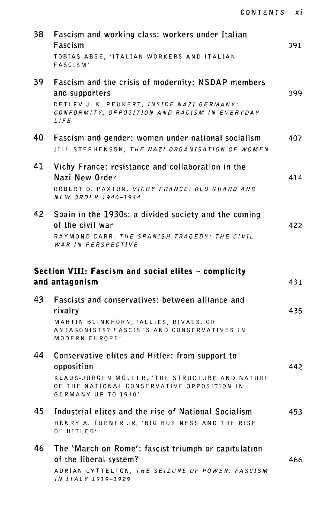| 38 | Fascism and working class: workers under Italian<br>Fascism<br>TOBIAS ABSE, 'ITALIAN WORKERS AND ITALIAN<br>FASCISM'                                                                 | 391 |
|----|--------------------------------------------------------------------------------------------------------------------------------------------------------------------------------------|-----|
| 39 | Fascism and the crisis of modernity: NSDAP members<br>and supporters<br>DETLEV J. K. PEUKERT, INSIDE NAZI GERMANY:<br>CONFORMITY, OPPOSITION AND RACISM IN EVERYDAY<br>LIFE          | 399 |
| 40 | Fascism and gender: women under national socialism<br>JILL STEPHENSON, THE NAZI ORGANISATION OF WOMEN                                                                                | 407 |
| 41 | Vichy France: resistance and collaboration in the<br>Nazi New Order<br>ROBERT O. PAXTON, VICHY FRANCE: OLD GUARD AND<br>NEW ORDER 1940-1944                                          | 414 |
| 42 | Spain in the 1930s: a divided society and the coming<br>of the civil war<br>RAYMOND CARR, THE SPANISH TRAGEDY: THE CIVIL<br>WAR IN PERSPECTIVE                                       | 422 |
|    | Section VIII: Fascism and social elites - complicity                                                                                                                                 |     |
|    | and antagonism                                                                                                                                                                       | 431 |
| 43 | Fascists and conservatives: between alliance and<br>rivalry<br>MARTIN BLINKHORN, 'ALLIES, RIVALS, OR<br>ANTAGONISTS? FASCISTS AND CONSERVATIVES IN<br>MODERN EUROPE'                 | 435 |
| 44 | Conservative elites and Hitler: from support to<br>opposition<br>KLAUS-JÜRGEN MÜLLER, 'THE STRUCTURE AND NATURE<br>OF THE NATIONAL CONSERVATIVE OPPOSITION IN<br>GERMANY UP TO 1940' | 442 |
| 45 | Industrial elites and the rise of National Socialism<br>HENRY A. TURNER JR, 'BIG BUSINESS AND THE RISE<br>OF HITLER'                                                                 | 453 |